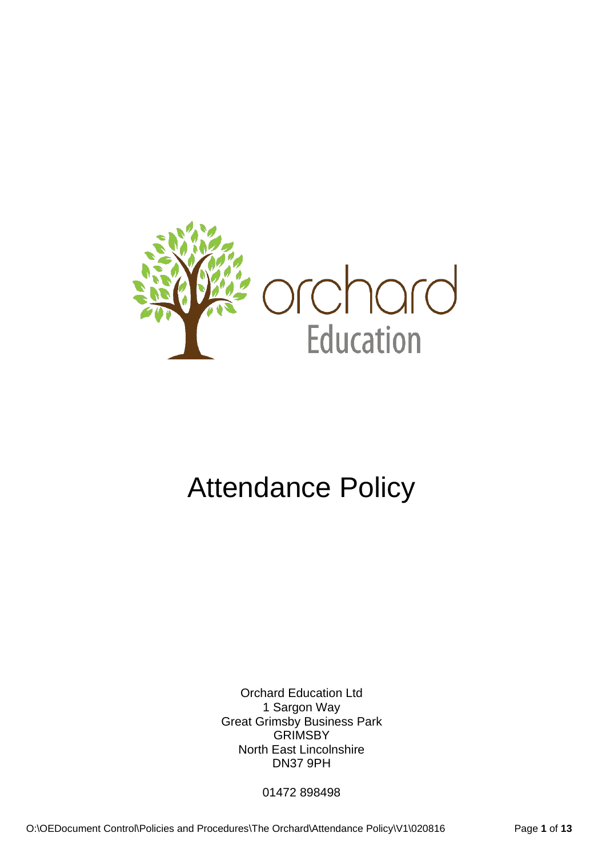

# Attendance Policy

Orchard Education Ltd 1 Sargon Way Great Grimsby Business Park **GRIMSBY** North East Lincolnshire DN37 9PH

01472 898498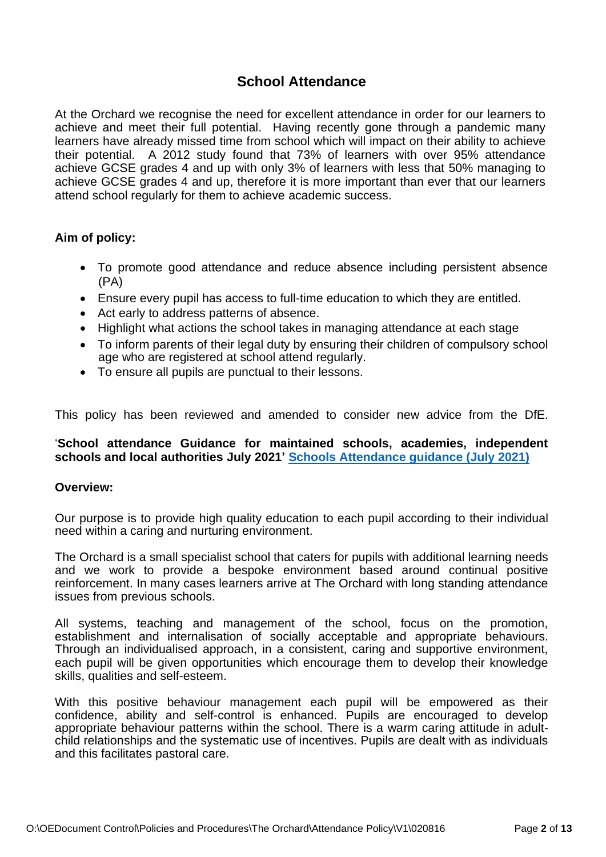# **School Attendance**

At the Orchard we recognise the need for excellent attendance in order for our learners to achieve and meet their full potential. Having recently gone through a pandemic many learners have already missed time from school which will impact on their ability to achieve their potential. A 2012 study found that 73% of learners with over 95% attendance achieve GCSE grades 4 and up with only 3% of learners with less that 50% managing to achieve GCSE grades 4 and up, therefore it is more important than ever that our learners attend school regularly for them to achieve academic success.

# **Aim of policy:**

- To promote good attendance and reduce absence including persistent absence (PA)
- Ensure every pupil has access to full-time education to which they are entitled.
- Act early to address patterns of absence.
- Highlight what actions the school takes in managing attendance at each stage
- To inform parents of their legal duty by ensuring their children of compulsory school age who are registered at school attend regularly.
- To ensure all pupils are punctual to their lessons.

This policy has been reviewed and amended to consider new advice from the DfE.

# '**School attendance Guidance for maintained schools, academies, independent schools and local authorities July 2021' [Schools Attendance guidance \(July 2021\)](https://www.gov.uk/government/publications/school-attendance)**

#### **Overview:**

Our purpose is to provide high quality education to each pupil according to their individual need within a caring and nurturing environment.

The Orchard is a small specialist school that caters for pupils with additional learning needs and we work to provide a bespoke environment based around continual positive reinforcement. In many cases learners arrive at The Orchard with long standing attendance issues from previous schools.

All systems, teaching and management of the school, focus on the promotion, establishment and internalisation of socially acceptable and appropriate behaviours. Through an individualised approach, in a consistent, caring and supportive environment, each pupil will be given opportunities which encourage them to develop their knowledge skills, qualities and self-esteem.

With this positive behaviour management each pupil will be empowered as their confidence, ability and self-control is enhanced. Pupils are encouraged to develop appropriate behaviour patterns within the school. There is a warm caring attitude in adultchild relationships and the systematic use of incentives. Pupils are dealt with as individuals and this facilitates pastoral care.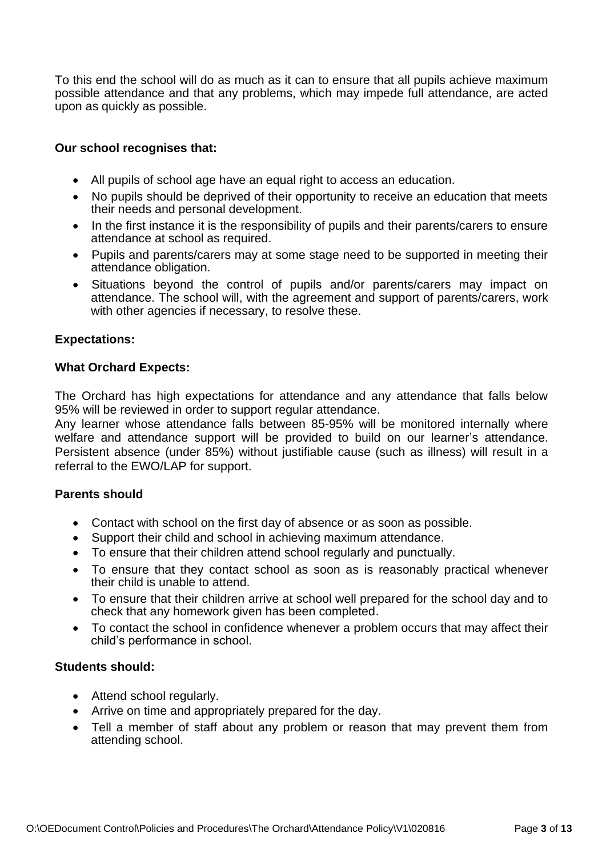To this end the school will do as much as it can to ensure that all pupils achieve maximum possible attendance and that any problems, which may impede full attendance, are acted upon as quickly as possible.

# **Our school recognises that:**

- All pupils of school age have an equal right to access an education.
- No pupils should be deprived of their opportunity to receive an education that meets their needs and personal development.
- In the first instance it is the responsibility of pupils and their parents/carers to ensure attendance at school as required.
- Pupils and parents/carers may at some stage need to be supported in meeting their attendance obligation.
- Situations beyond the control of pupils and/or parents/carers may impact on attendance. The school will, with the agreement and support of parents/carers, work with other agencies if necessary, to resolve these.

# **Expectations:**

# **What Orchard Expects:**

The Orchard has high expectations for attendance and any attendance that falls below 95% will be reviewed in order to support regular attendance.

Any learner whose attendance falls between 85-95% will be monitored internally where welfare and attendance support will be provided to build on our learner's attendance. Persistent absence (under 85%) without justifiable cause (such as illness) will result in a referral to the EWO/LAP for support.

# **Parents should**

- Contact with school on the first day of absence or as soon as possible.
- Support their child and school in achieving maximum attendance.
- To ensure that their children attend school regularly and punctually.
- To ensure that they contact school as soon as is reasonably practical whenever their child is unable to attend.
- To ensure that their children arrive at school well prepared for the school day and to check that any homework given has been completed.
- To contact the school in confidence whenever a problem occurs that may affect their child's performance in school.

# **Students should:**

- Attend school regularly.
- Arrive on time and appropriately prepared for the day.
- Tell a member of staff about any problem or reason that may prevent them from attending school.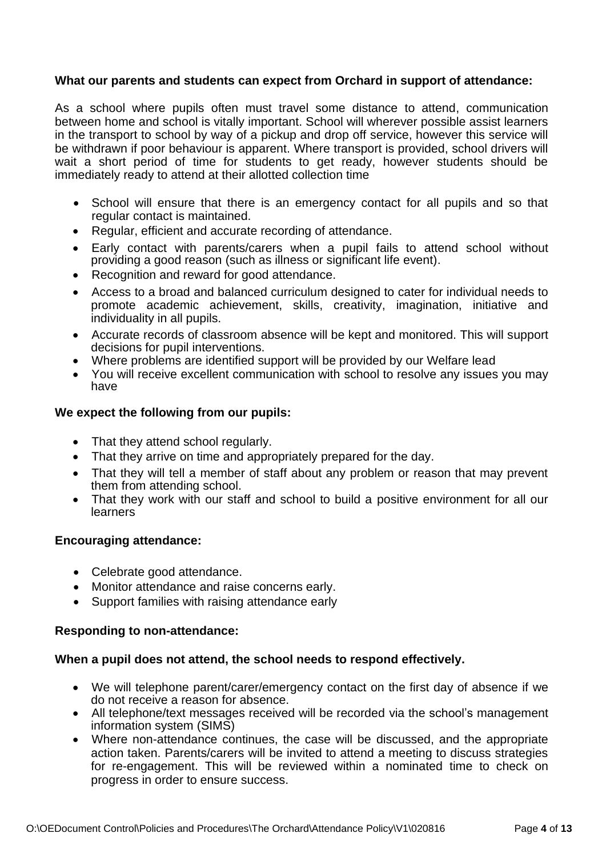# **What our parents and students can expect from Orchard in support of attendance:**

As a school where pupils often must travel some distance to attend, communication between home and school is vitally important. School will wherever possible assist learners in the transport to school by way of a pickup and drop off service, however this service will be withdrawn if poor behaviour is apparent. Where transport is provided, school drivers will wait a short period of time for students to get ready, however students should be immediately ready to attend at their allotted collection time

- School will ensure that there is an emergency contact for all pupils and so that regular contact is maintained.
- Regular, efficient and accurate recording of attendance.
- Early contact with parents/carers when a pupil fails to attend school without providing a good reason (such as illness or significant life event).
- Recognition and reward for good attendance.
- Access to a broad and balanced curriculum designed to cater for individual needs to promote academic achievement, skills, creativity, imagination, initiative and individuality in all pupils.
- Accurate records of classroom absence will be kept and monitored. This will support decisions for pupil interventions.
- Where problems are identified support will be provided by our Welfare lead
- You will receive excellent communication with school to resolve any issues you may have

# **We expect the following from our pupils:**

- That they attend school regularly.
- That they arrive on time and appropriately prepared for the day.
- That they will tell a member of staff about any problem or reason that may prevent them from attending school.
- That they work with our staff and school to build a positive environment for all our learners

#### **Encouraging attendance:**

- Celebrate good attendance.
- Monitor attendance and raise concerns early.
- Support families with raising attendance early

#### **Responding to non-attendance:**

#### **When a pupil does not attend, the school needs to respond effectively.**

- We will telephone parent/carer/emergency contact on the first day of absence if we do not receive a reason for absence.
- All telephone/text messages received will be recorded via the school's management information system (SIMS)
- Where non-attendance continues, the case will be discussed, and the appropriate action taken. Parents/carers will be invited to attend a meeting to discuss strategies for re-engagement. This will be reviewed within a nominated time to check on progress in order to ensure success.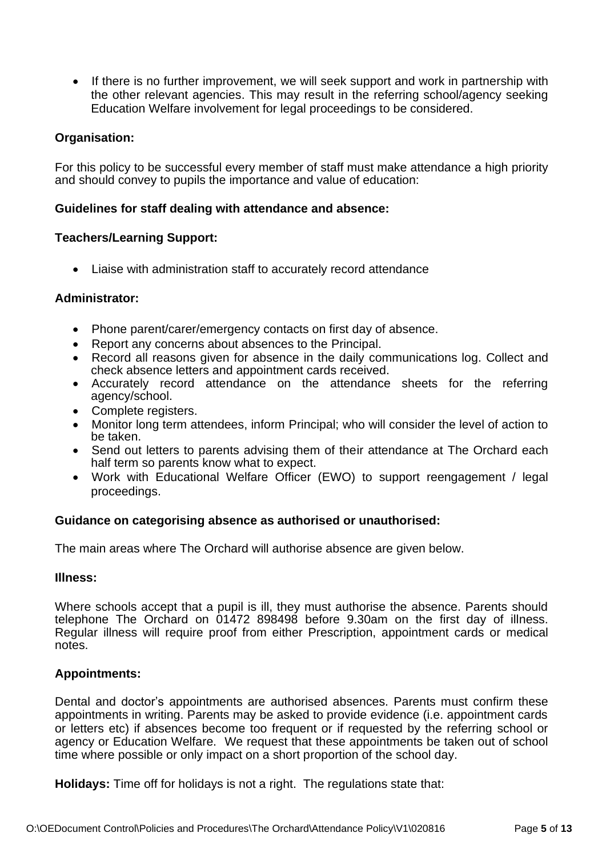• If there is no further improvement, we will seek support and work in partnership with the other relevant agencies. This may result in the referring school/agency seeking Education Welfare involvement for legal proceedings to be considered.

## **Organisation:**

For this policy to be successful every member of staff must make attendance a high priority and should convey to pupils the importance and value of education:

## **Guidelines for staff dealing with attendance and absence:**

#### **Teachers/Learning Support:**

• Liaise with administration staff to accurately record attendance

## **Administrator:**

- Phone parent/carer/emergency contacts on first day of absence.
- Report any concerns about absences to the Principal.
- Record all reasons given for absence in the daily communications log. Collect and check absence letters and appointment cards received.
- Accurately record attendance on the attendance sheets for the referring agency/school.
- Complete registers.
- Monitor long term attendees, inform Principal; who will consider the level of action to be taken.
- Send out letters to parents advising them of their attendance at The Orchard each half term so parents know what to expect.
- Work with Educational Welfare Officer (EWO) to support reengagement / legal proceedings.

#### **Guidance on categorising absence as authorised or unauthorised:**

The main areas where The Orchard will authorise absence are given below.

#### **Illness:**

Where schools accept that a pupil is ill, they must authorise the absence. Parents should telephone The Orchard on 01472 898498 before 9.30am on the first day of illness. Regular illness will require proof from either Prescription, appointment cards or medical notes.

#### **Appointments:**

Dental and doctor's appointments are authorised absences. Parents must confirm these appointments in writing. Parents may be asked to provide evidence (i.e. appointment cards or letters etc) if absences become too frequent or if requested by the referring school or agency or Education Welfare. We request that these appointments be taken out of school time where possible or only impact on a short proportion of the school day.

**Holidays:** Time off for holidays is not a right. The regulations state that: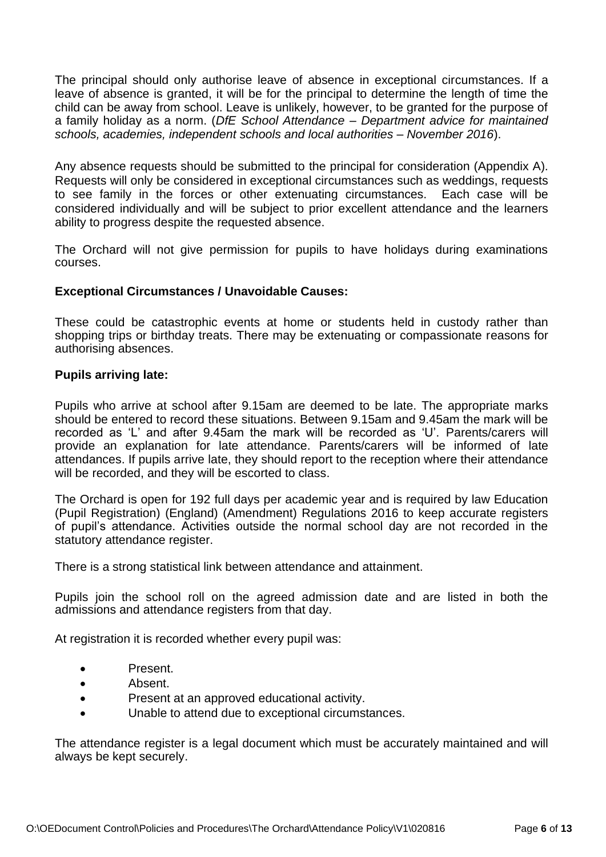The principal should only authorise leave of absence in exceptional circumstances. If a leave of absence is granted, it will be for the principal to determine the length of time the child can be away from school. Leave is unlikely, however, to be granted for the purpose of a family holiday as a norm. (*DfE School Attendance – Department advice for maintained schools, academies, independent schools and local authorities – November 2016*).

Any absence requests should be submitted to the principal for consideration (Appendix A). Requests will only be considered in exceptional circumstances such as weddings, requests to see family in the forces or other extenuating circumstances. Each case will be considered individually and will be subject to prior excellent attendance and the learners ability to progress despite the requested absence.

The Orchard will not give permission for pupils to have holidays during examinations courses.

# **Exceptional Circumstances / Unavoidable Causes:**

These could be catastrophic events at home or students held in custody rather than shopping trips or birthday treats. There may be extenuating or compassionate reasons for authorising absences.

## **Pupils arriving late:**

Pupils who arrive at school after 9.15am are deemed to be late. The appropriate marks should be entered to record these situations. Between 9.15am and 9.45am the mark will be recorded as 'L' and after 9.45am the mark will be recorded as 'U'. Parents/carers will provide an explanation for late attendance. Parents/carers will be informed of late attendances. If pupils arrive late, they should report to the reception where their attendance will be recorded, and they will be escorted to class.

The Orchard is open for 192 full days per academic year and is required by law Education (Pupil Registration) (England) (Amendment) Regulations 2016 to keep accurate registers of pupil's attendance. Activities outside the normal school day are not recorded in the statutory attendance register.

There is a strong statistical link between attendance and attainment.

Pupils join the school roll on the agreed admission date and are listed in both the admissions and attendance registers from that day.

At registration it is recorded whether every pupil was:

- Present.
- Absent.
- Present at an approved educational activity.
- Unable to attend due to exceptional circumstances.

The attendance register is a legal document which must be accurately maintained and will always be kept securely.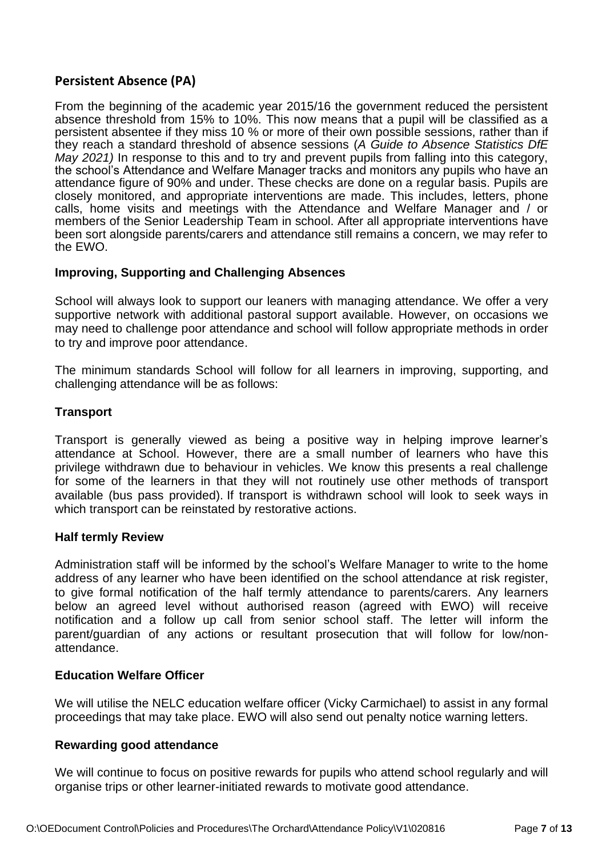# **Persistent Absence (PA)**

From the beginning of the academic year 2015/16 the government reduced the persistent absence threshold from 15% to 10%. This now means that a pupil will be classified as a persistent absentee if they miss 10 % or more of their own possible sessions, rather than if they reach a standard threshold of absence sessions (*A Guide to Absence Statistics DfE May 2021)* In response to this and to try and prevent pupils from falling into this category, the school's Attendance and Welfare Manager tracks and monitors any pupils who have an attendance figure of 90% and under. These checks are done on a regular basis. Pupils are closely monitored, and appropriate interventions are made. This includes, letters, phone calls, home visits and meetings with the Attendance and Welfare Manager and / or members of the Senior Leadership Team in school. After all appropriate interventions have been sort alongside parents/carers and attendance still remains a concern, we may refer to the EWO.

# **Improving, Supporting and Challenging Absences**

School will always look to support our leaners with managing attendance. We offer a very supportive network with additional pastoral support available. However, on occasions we may need to challenge poor attendance and school will follow appropriate methods in order to try and improve poor attendance.

The minimum standards School will follow for all learners in improving, supporting, and challenging attendance will be as follows:

## **Transport**

Transport is generally viewed as being a positive way in helping improve learner's attendance at School. However, there are a small number of learners who have this privilege withdrawn due to behaviour in vehicles. We know this presents a real challenge for some of the learners in that they will not routinely use other methods of transport available (bus pass provided). If transport is withdrawn school will look to seek ways in which transport can be reinstated by restorative actions.

#### **Half termly Review**

Administration staff will be informed by the school's Welfare Manager to write to the home address of any learner who have been identified on the school attendance at risk register, to give formal notification of the half termly attendance to parents/carers. Any learners below an agreed level without authorised reason (agreed with EWO) will receive notification and a follow up call from senior school staff. The letter will inform the parent/guardian of any actions or resultant prosecution that will follow for low/nonattendance.

# **Education Welfare Officer**

We will utilise the NELC education welfare officer (Vicky Carmichael) to assist in any formal proceedings that may take place. EWO will also send out penalty notice warning letters.

#### **Rewarding good attendance**

We will continue to focus on positive rewards for pupils who attend school regularly and will organise trips or other learner-initiated rewards to motivate good attendance.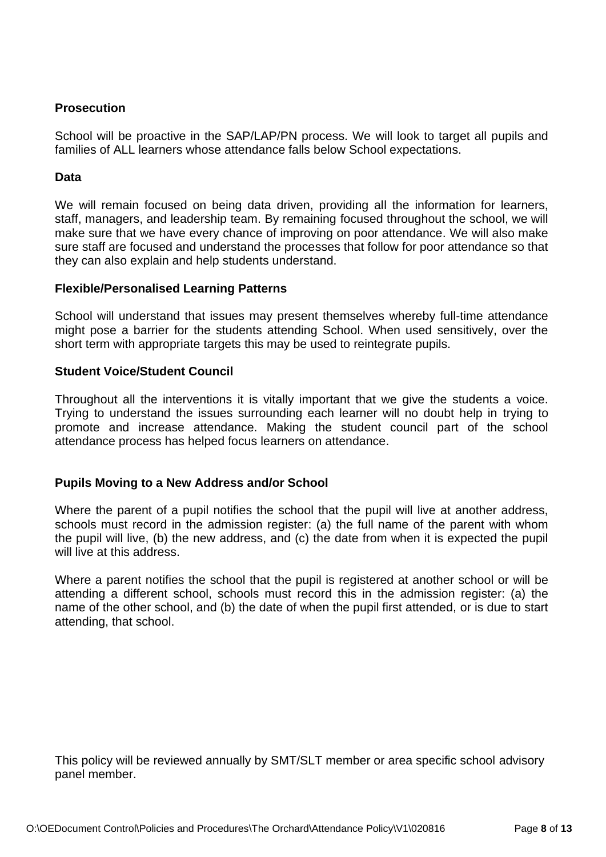# **Prosecution**

School will be proactive in the SAP/LAP/PN process. We will look to target all pupils and families of ALL learners whose attendance falls below School expectations.

# **Data**

We will remain focused on being data driven, providing all the information for learners, staff, managers, and leadership team. By remaining focused throughout the school, we will make sure that we have every chance of improving on poor attendance. We will also make sure staff are focused and understand the processes that follow for poor attendance so that they can also explain and help students understand.

## **Flexible/Personalised Learning Patterns**

School will understand that issues may present themselves whereby full-time attendance might pose a barrier for the students attending School. When used sensitively, over the short term with appropriate targets this may be used to reintegrate pupils.

## **Student Voice/Student Council**

Throughout all the interventions it is vitally important that we give the students a voice. Trying to understand the issues surrounding each learner will no doubt help in trying to promote and increase attendance. Making the student council part of the school attendance process has helped focus learners on attendance.

# **Pupils Moving to a New Address and/or School**

Where the parent of a pupil notifies the school that the pupil will live at another address, schools must record in the admission register: (a) the full name of the parent with whom the pupil will live, (b) the new address, and (c) the date from when it is expected the pupil will live at this address.

Where a parent notifies the school that the pupil is registered at another school or will be attending a different school, schools must record this in the admission register: (a) the name of the other school, and (b) the date of when the pupil first attended, or is due to start attending, that school.

This policy will be reviewed annually by SMT/SLT member or area specific school advisory panel member.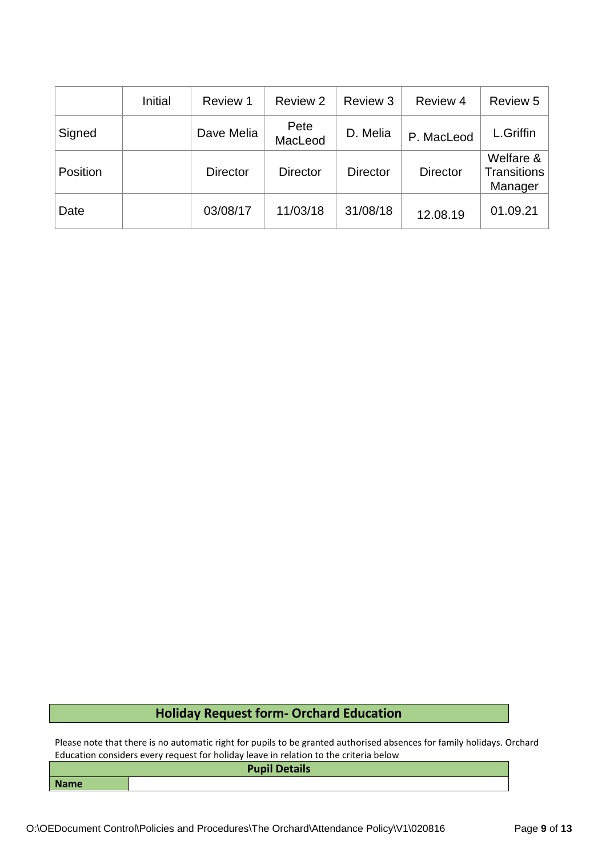|          | Initial | Review 1        | Review 2        | Review 3        | Review 4        | Review 5                            |
|----------|---------|-----------------|-----------------|-----------------|-----------------|-------------------------------------|
| Signed   |         | Dave Melia      | Pete<br>MacLeod | D. Melia        | P. MacLeod      | L.Griffin                           |
| Position |         | <b>Director</b> | <b>Director</b> | <b>Director</b> | <b>Director</b> | Welfare &<br>Transitions<br>Manager |
| Date     |         | 03/08/17        | 11/03/18        | 31/08/18        | 12.08.19        | 01.09.21                            |

# **Holiday Request form- Orchard Education**

Please note that there is no automatic right for pupils to be granted authorised absences for family holidays. Orchard Education considers every request for holiday leave in relation to the criteria below

|             | <b>Pupil Details</b> |
|-------------|----------------------|
| <b>Name</b> |                      |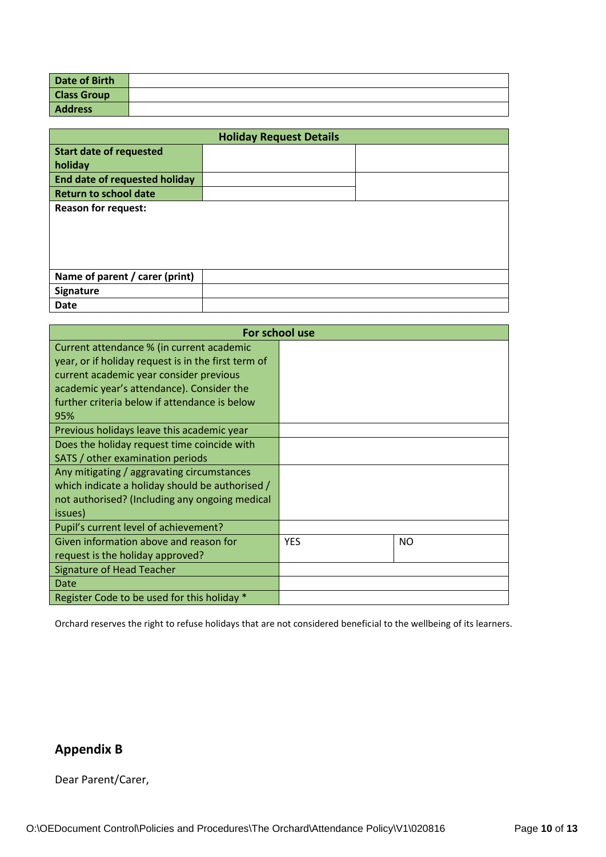| Date of Birth      |  |
|--------------------|--|
| <b>Class Group</b> |  |
| <b>Address</b>     |  |

|                                      | <b>Holiday Request Details</b> |  |
|--------------------------------------|--------------------------------|--|
| <b>Start date of requested</b>       |                                |  |
| holiday                              |                                |  |
| <b>End date of requested holiday</b> |                                |  |
| <b>Return to school date</b>         |                                |  |
| <b>Reason for request:</b>           |                                |  |
| Name of parent / carer (print)       |                                |  |
| Signature                            |                                |  |
| <b>Date</b>                          |                                |  |

| For school use                                      |            |           |
|-----------------------------------------------------|------------|-----------|
| Current attendance % (in current academic           |            |           |
| year, or if holiday request is in the first term of |            |           |
| current academic year consider previous             |            |           |
| academic year's attendance). Consider the           |            |           |
| further criteria below if attendance is below       |            |           |
| 95%                                                 |            |           |
| Previous holidays leave this academic year          |            |           |
| Does the holiday request time coincide with         |            |           |
| SATS / other examination periods                    |            |           |
| Any mitigating / aggravating circumstances          |            |           |
| which indicate a holiday should be authorised /     |            |           |
| not authorised? (Including any ongoing medical      |            |           |
| issues)                                             |            |           |
| Pupil's current level of achievement?               |            |           |
| Given information above and reason for              | <b>YES</b> | <b>NO</b> |
| request is the holiday approved?                    |            |           |
| Signature of Head Teacher                           |            |           |
| Date                                                |            |           |
| Register Code to be used for this holiday *         |            |           |

Orchard reserves the right to refuse holidays that are not considered beneficial to the wellbeing of its learners.

# **Appendix B**

Dear Parent/Carer,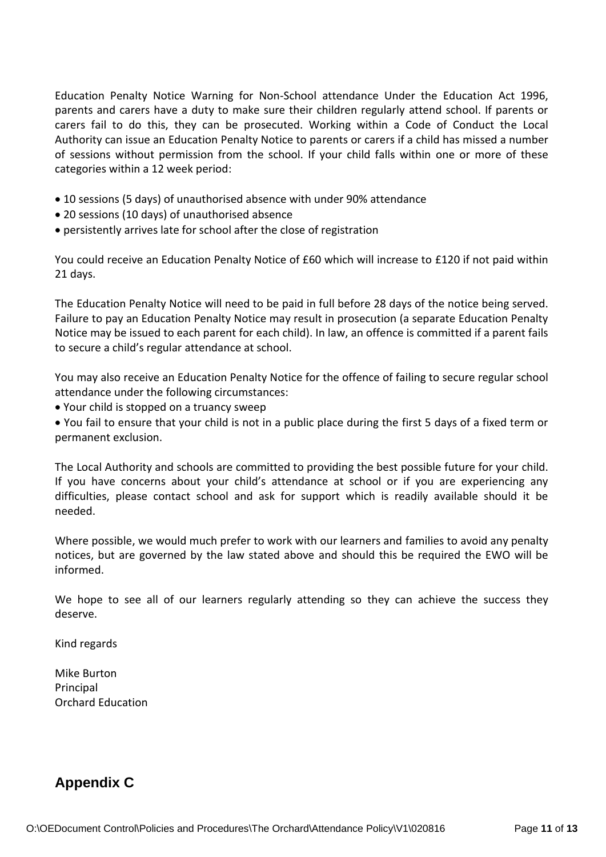Education Penalty Notice Warning for Non-School attendance Under the Education Act 1996, parents and carers have a duty to make sure their children regularly attend school. If parents or carers fail to do this, they can be prosecuted. Working within a Code of Conduct the Local Authority can issue an Education Penalty Notice to parents or carers if a child has missed a number of sessions without permission from the school. If your child falls within one or more of these categories within a 12 week period:

- 10 sessions (5 days) of unauthorised absence with under 90% attendance
- 20 sessions (10 days) of unauthorised absence
- persistently arrives late for school after the close of registration

You could receive an Education Penalty Notice of £60 which will increase to £120 if not paid within 21 days.

The Education Penalty Notice will need to be paid in full before 28 days of the notice being served. Failure to pay an Education Penalty Notice may result in prosecution (a separate Education Penalty Notice may be issued to each parent for each child). In law, an offence is committed if a parent fails to secure a child's regular attendance at school.

You may also receive an Education Penalty Notice for the offence of failing to secure regular school attendance under the following circumstances:

• Your child is stopped on a truancy sweep

• You fail to ensure that your child is not in a public place during the first 5 days of a fixed term or permanent exclusion.

The Local Authority and schools are committed to providing the best possible future for your child. If you have concerns about your child's attendance at school or if you are experiencing any difficulties, please contact school and ask for support which is readily available should it be needed.

Where possible, we would much prefer to work with our learners and families to avoid any penalty notices, but are governed by the law stated above and should this be required the EWO will be informed.

We hope to see all of our learners regularly attending so they can achieve the success they deserve.

Kind regards

Mike Burton Principal Orchard Education

# **Appendix C**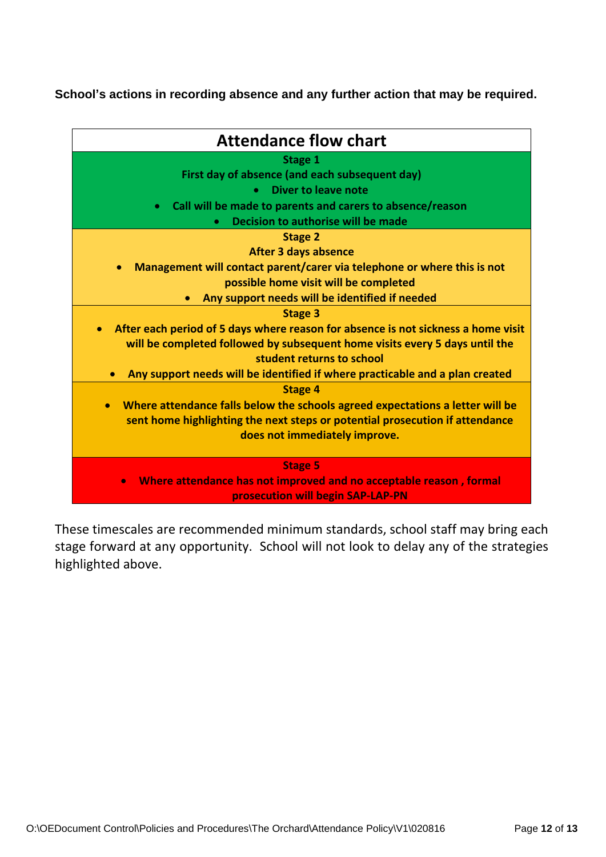**School's actions in recording absence and any further action that may be required.**

| <b>Attendance flow chart</b>                                                               |
|--------------------------------------------------------------------------------------------|
| Stage 1                                                                                    |
| First day of absence (and each subsequent day)                                             |
| <b>Diver to leave note</b>                                                                 |
| Call will be made to parents and carers to absence/reason<br>$\bullet$                     |
| Decision to authorise will be made                                                         |
| <b>Stage 2</b>                                                                             |
| <b>After 3 days absence</b>                                                                |
| Management will contact parent/carer via telephone or where this is not                    |
| possible home visit will be completed                                                      |
| Any support needs will be identified if needed                                             |
| <b>Stage 3</b>                                                                             |
| After each period of 5 days where reason for absence is not sickness a home visit          |
| will be completed followed by subsequent home visits every 5 days until the                |
| student returns to school                                                                  |
| Any support needs will be identified if where practicable and a plan created               |
| <b>Stage 4</b>                                                                             |
| Where attendance falls below the schools agreed expectations a letter will be<br>$\bullet$ |
| sent home highlighting the next steps or potential prosecution if attendance               |
| does not immediately improve.                                                              |
|                                                                                            |
| <b>Stage 5</b>                                                                             |
| Where attendance has not improved and no acceptable reason, formal<br>$\bullet$            |
| prosecution will begin SAP-LAP-PN                                                          |

These timescales are recommended minimum standards, school staff may bring each stage forward at any opportunity. School will not look to delay any of the strategies highlighted above.